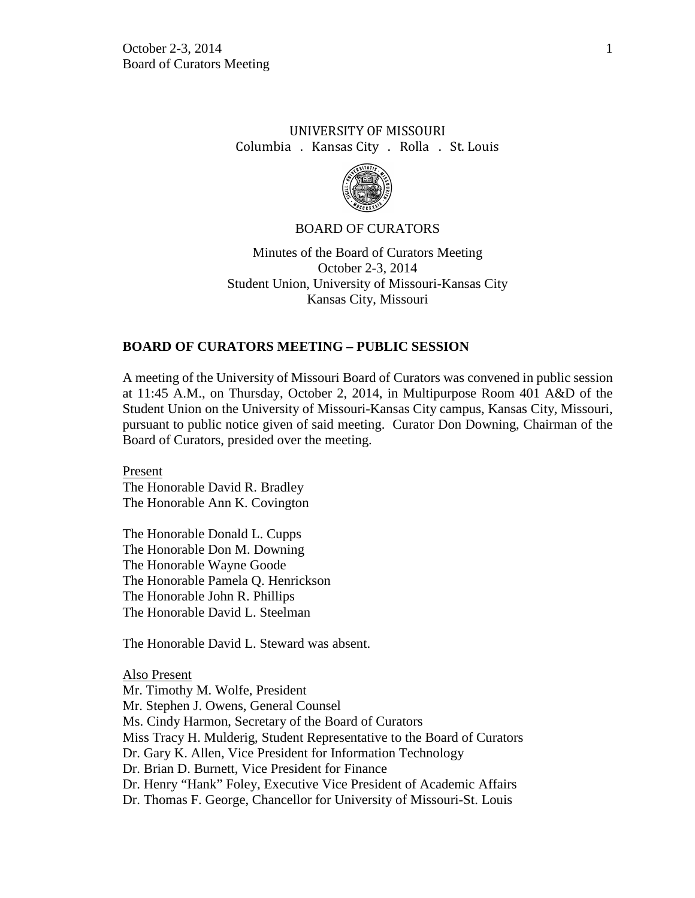# UNIVERSITY OF MISSOURI Columbia . Kansas City . Rolla . St. Louis



#### BOARD OF CURATORS

Minutes of the Board of Curators Meeting October 2-3, 2014 Student Union, University of Missouri-Kansas City Kansas City, Missouri

#### **BOARD OF CURATORS MEETING – PUBLIC SESSION**

A meeting of the University of Missouri Board of Curators was convened in public session at 11:45 A.M., on Thursday, October 2, 2014, in Multipurpose Room 401 A&D of the Student Union on the University of Missouri-Kansas City campus, Kansas City, Missouri, pursuant to public notice given of said meeting. Curator Don Downing, Chairman of the Board of Curators, presided over the meeting.

Present The Honorable David R. Bradley The Honorable Ann K. Covington

The Honorable Donald L. Cupps The Honorable Don M. Downing The Honorable Wayne Goode The Honorable Pamela Q. Henrickson The Honorable John R. Phillips The Honorable David L. Steelman

The Honorable David L. Steward was absent.

Also Present Mr. Timothy M. Wolfe, President Mr. Stephen J. Owens, General Counsel Ms. Cindy Harmon, Secretary of the Board of Curators Miss Tracy H. Mulderig, Student Representative to the Board of Curators Dr. Gary K. Allen, Vice President for Information Technology Dr. Brian D. Burnett, Vice President for Finance Dr. Henry "Hank" Foley, Executive Vice President of Academic Affairs Dr. Thomas F. George, Chancellor for University of Missouri-St. Louis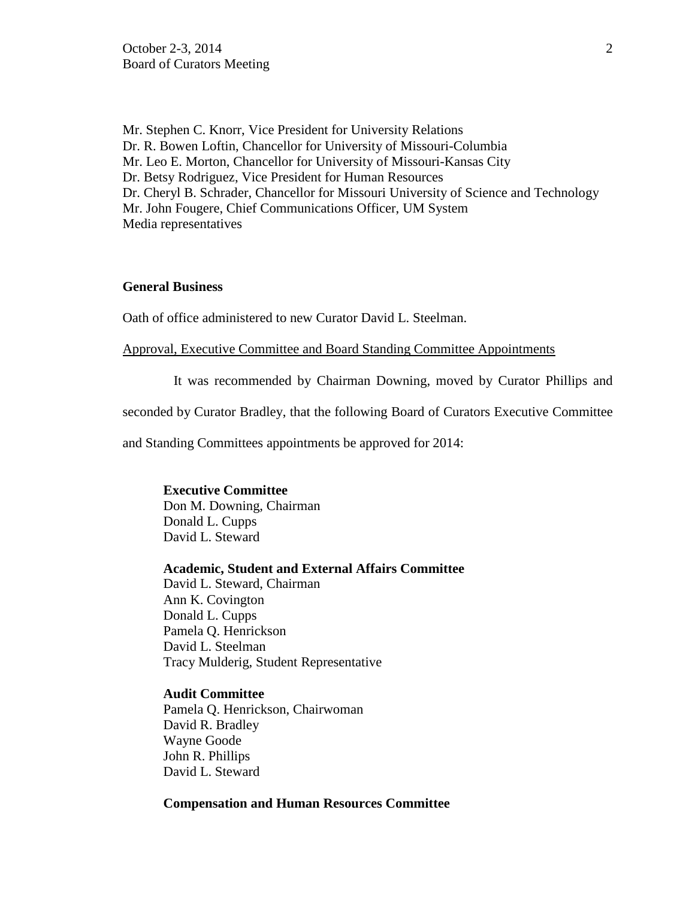Mr. Stephen C. Knorr, Vice President for University Relations Dr. R. Bowen Loftin, Chancellor for University of Missouri-Columbia Mr. Leo E. Morton, Chancellor for University of Missouri-Kansas City Dr. Betsy Rodriguez, Vice President for Human Resources Dr. Cheryl B. Schrader, Chancellor for Missouri University of Science and Technology Mr. John Fougere, Chief Communications Officer, UM System Media representatives

### **General Business**

Oath of office administered to new Curator David L. Steelman.

### Approval, Executive Committee and Board Standing Committee Appointments

It was recommended by Chairman Downing, moved by Curator Phillips and

seconded by Curator Bradley, that the following Board of Curators Executive Committee

and Standing Committees appointments be approved for 2014:

# **Executive Committee**  Don M. Downing, Chairman Donald L. Cupps

David L. Steward

### **Academic, Student and External Affairs Committee**

David L. Steward, Chairman Ann K. Covington Donald L. Cupps Pamela Q. Henrickson David L. Steelman Tracy Mulderig, Student Representative

#### **Audit Committee**

Pamela Q. Henrickson, Chairwoman David R. Bradley Wayne Goode John R. Phillips David L. Steward

#### **Compensation and Human Resources Committee**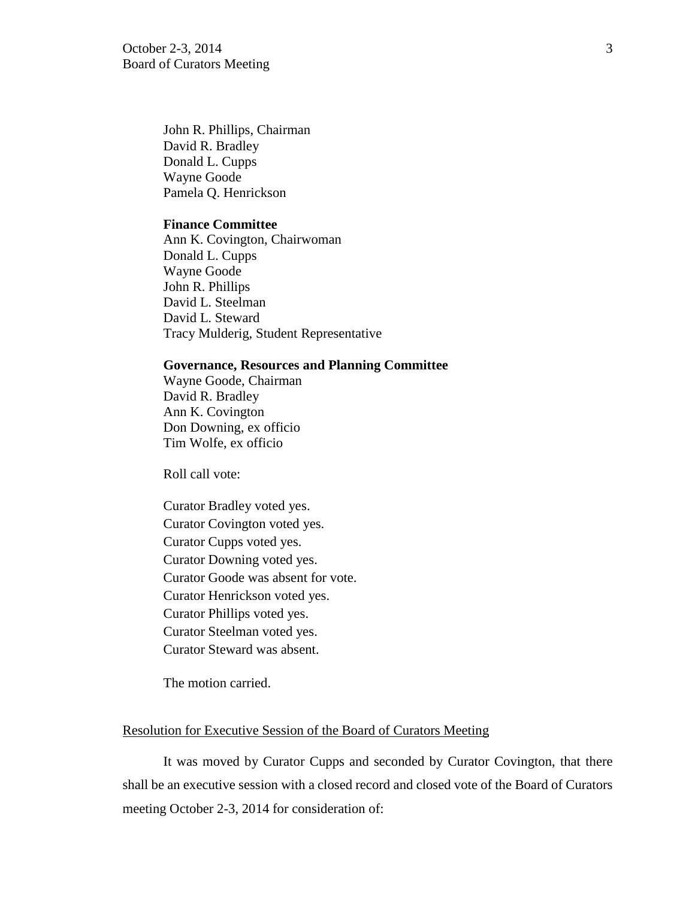October 2-3, 2014 3 Board of Curators Meeting

John R. Phillips, Chairman David R. Bradley Donald L. Cupps Wayne Goode Pamela Q. Henrickson

### **Finance Committee**

Ann K. Covington, Chairwoman Donald L. Cupps Wayne Goode John R. Phillips David L. Steelman David L. Steward Tracy Mulderig, Student Representative

#### **Governance, Resources and Planning Committee**

Wayne Goode, Chairman David R. Bradley Ann K. Covington Don Downing, ex officio Tim Wolfe, ex officio

Roll call vote:

Curator Bradley voted yes. Curator Covington voted yes. Curator Cupps voted yes. Curator Downing voted yes. Curator Goode was absent for vote. Curator Henrickson voted yes. Curator Phillips voted yes. Curator Steelman voted yes. Curator Steward was absent.

The motion carried.

#### Resolution for Executive Session of the Board of Curators Meeting

It was moved by Curator Cupps and seconded by Curator Covington, that there shall be an executive session with a closed record and closed vote of the Board of Curators meeting October 2-3, 2014 for consideration of: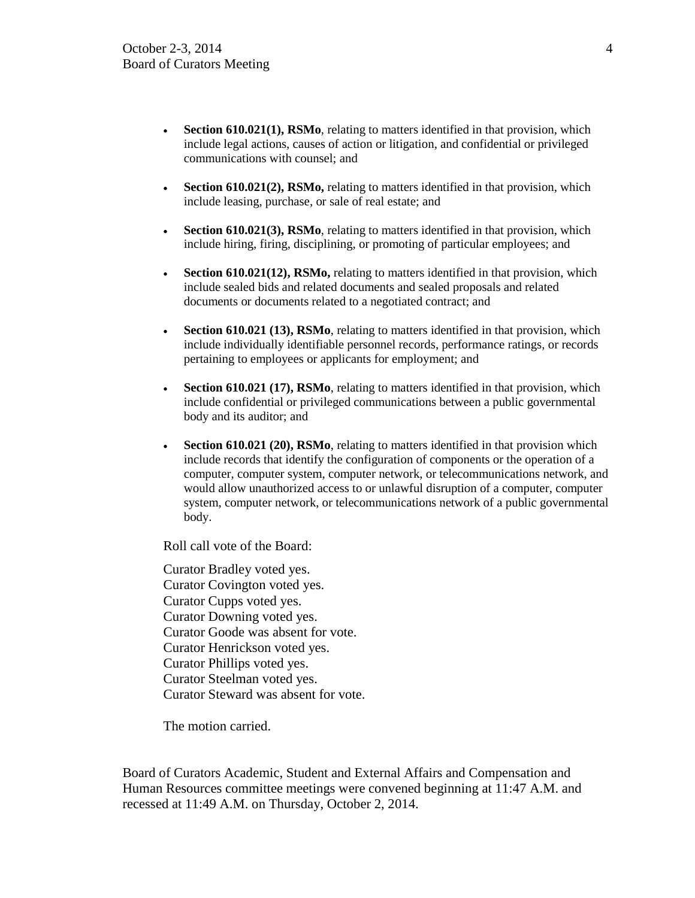- **Section 610.021(1), RSMo**, relating to matters identified in that provision, which include legal actions, causes of action or litigation, and confidential or privileged communications with counsel; and
- **Section 610.021(2), RSMo,** relating to matters identified in that provision, which include leasing, purchase, or sale of real estate; and
- **Section 610.021(3), RSMo**, relating to matters identified in that provision, which include hiring, firing, disciplining, or promoting of particular employees; and
- **Section 610.021(12), RSMo,** relating to matters identified in that provision, which include sealed bids and related documents and sealed proposals and related documents or documents related to a negotiated contract; and
- **Section 610.021 (13), RSMo**, relating to matters identified in that provision, which include individually identifiable personnel records, performance ratings, or records pertaining to employees or applicants for employment; and
- **Section 610.021 (17), RSMo**, relating to matters identified in that provision, which include confidential or privileged communications between a public governmental body and its auditor; and
- **Section 610.021 (20), RSMo**, relating to matters identified in that provision which include records that identify the configuration of components or the operation of a computer, computer system, computer network, or telecommunications network, and would allow unauthorized access to or unlawful disruption of a computer, computer system, computer network, or telecommunications network of a public governmental body.

Roll call vote of the Board:

Curator Bradley voted yes. Curator Covington voted yes. Curator Cupps voted yes. Curator Downing voted yes. Curator Goode was absent for vote. Curator Henrickson voted yes. Curator Phillips voted yes. Curator Steelman voted yes. Curator Steward was absent for vote.

The motion carried.

Board of Curators Academic, Student and External Affairs and Compensation and Human Resources committee meetings were convened beginning at 11:47 A.M. and recessed at 11:49 A.M. on Thursday, October 2, 2014.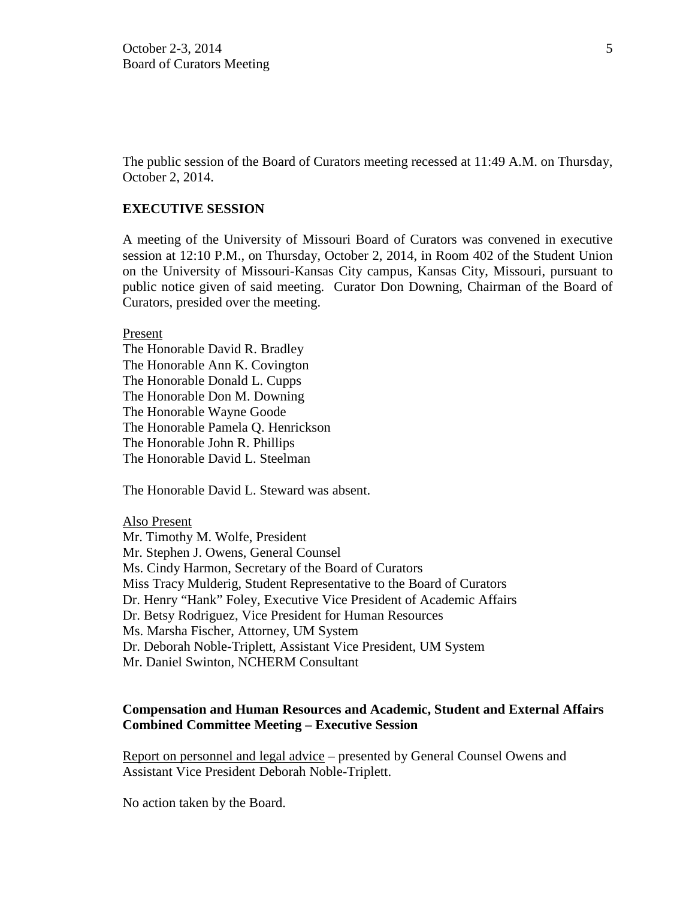The public session of the Board of Curators meeting recessed at 11:49 A.M. on Thursday, October 2, 2014.

### **EXECUTIVE SESSION**

A meeting of the University of Missouri Board of Curators was convened in executive session at 12:10 P.M., on Thursday, October 2, 2014, in Room 402 of the Student Union on the University of Missouri-Kansas City campus, Kansas City, Missouri, pursuant to public notice given of said meeting. Curator Don Downing, Chairman of the Board of Curators, presided over the meeting.

Present

The Honorable David R. Bradley The Honorable Ann K. Covington The Honorable Donald L. Cupps The Honorable Don M. Downing The Honorable Wayne Goode The Honorable Pamela Q. Henrickson The Honorable John R. Phillips The Honorable David L. Steelman

The Honorable David L. Steward was absent.

Also Present

Mr. Timothy M. Wolfe, President Mr. Stephen J. Owens, General Counsel Ms. Cindy Harmon, Secretary of the Board of Curators Miss Tracy Mulderig, Student Representative to the Board of Curators Dr. Henry "Hank" Foley, Executive Vice President of Academic Affairs Dr. Betsy Rodriguez, Vice President for Human Resources Ms. Marsha Fischer, Attorney, UM System Dr. Deborah Noble-Triplett, Assistant Vice President, UM System Mr. Daniel Swinton, NCHERM Consultant

### **Compensation and Human Resources and Academic, Student and External Affairs Combined Committee Meeting – Executive Session**

Report on personnel and legal advice – presented by General Counsel Owens and Assistant Vice President Deborah Noble-Triplett.

No action taken by the Board.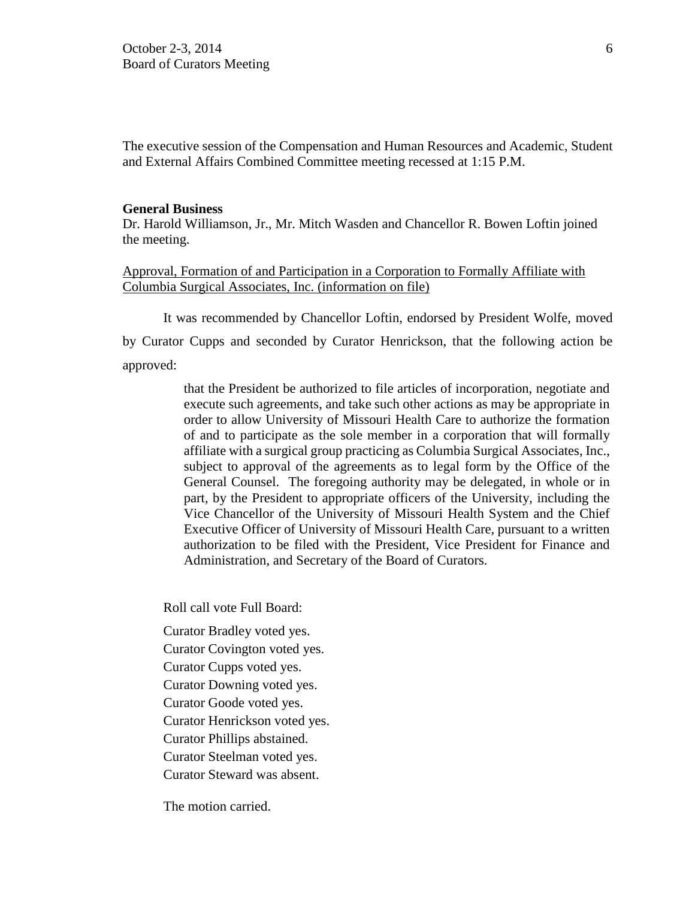The executive session of the Compensation and Human Resources and Academic, Student and External Affairs Combined Committee meeting recessed at 1:15 P.M.

#### **General Business**

Dr. Harold Williamson, Jr., Mr. Mitch Wasden and Chancellor R. Bowen Loftin joined the meeting.

### Approval, Formation of and Participation in a Corporation to Formally Affiliate with Columbia Surgical Associates, Inc. (information on file)

It was recommended by Chancellor Loftin, endorsed by President Wolfe, moved by Curator Cupps and seconded by Curator Henrickson, that the following action be approved:

> that the President be authorized to file articles of incorporation, negotiate and execute such agreements, and take such other actions as may be appropriate in order to allow University of Missouri Health Care to authorize the formation of and to participate as the sole member in a corporation that will formally affiliate with a surgical group practicing as Columbia Surgical Associates, Inc., subject to approval of the agreements as to legal form by the Office of the General Counsel. The foregoing authority may be delegated, in whole or in part, by the President to appropriate officers of the University, including the Vice Chancellor of the University of Missouri Health System and the Chief Executive Officer of University of Missouri Health Care, pursuant to a written authorization to be filed with the President, Vice President for Finance and Administration, and Secretary of the Board of Curators.

Roll call vote Full Board:

- Curator Bradley voted yes.
- Curator Covington voted yes.
- Curator Cupps voted yes.
- Curator Downing voted yes.
- Curator Goode voted yes.
- Curator Henrickson voted yes.
- Curator Phillips abstained.
- Curator Steelman voted yes.
- Curator Steward was absent.

The motion carried.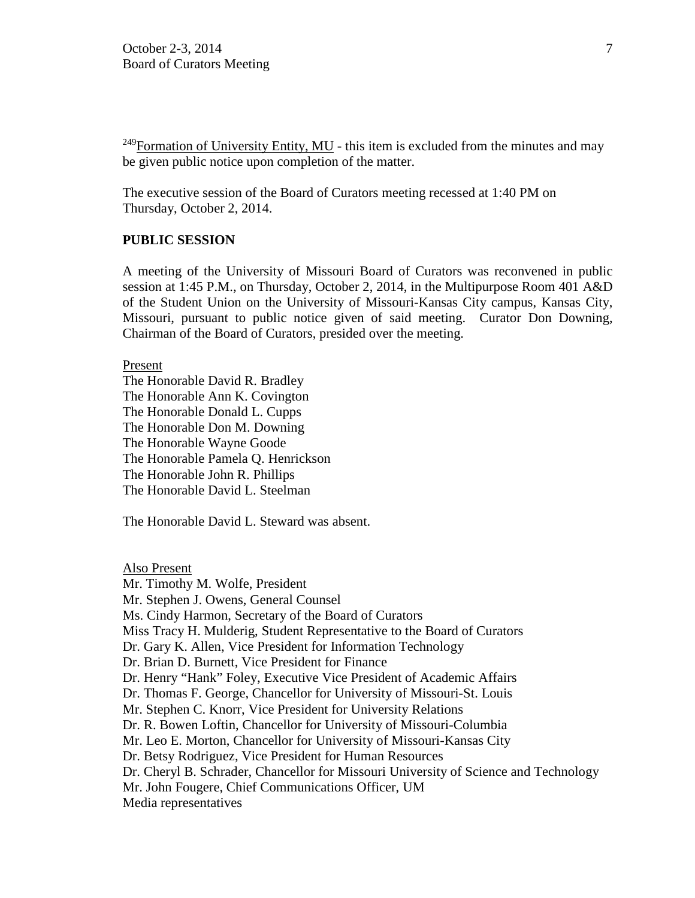$^{249}$ Formation of University Entity, MU - this item is excluded from the minutes and may be given public notice upon completion of the matter.

The executive session of the Board of Curators meeting recessed at 1:40 PM on Thursday, October 2, 2014.

#### **PUBLIC SESSION**

A meeting of the University of Missouri Board of Curators was reconvened in public session at 1:45 P.M., on Thursday, October 2, 2014, in the Multipurpose Room 401 A&D of the Student Union on the University of Missouri-Kansas City campus, Kansas City, Missouri, pursuant to public notice given of said meeting. Curator Don Downing, Chairman of the Board of Curators, presided over the meeting.

Present

The Honorable David R. Bradley The Honorable Ann K. Covington The Honorable Donald L. Cupps The Honorable Don M. Downing The Honorable Wayne Goode The Honorable Pamela Q. Henrickson The Honorable John R. Phillips The Honorable David L. Steelman

The Honorable David L. Steward was absent.

Also Present Mr. Timothy M. Wolfe, President Mr. Stephen J. Owens, General Counsel Ms. Cindy Harmon, Secretary of the Board of Curators Miss Tracy H. Mulderig, Student Representative to the Board of Curators Dr. Gary K. Allen, Vice President for Information Technology Dr. Brian D. Burnett, Vice President for Finance Dr. Henry "Hank" Foley, Executive Vice President of Academic Affairs Dr. Thomas F. George, Chancellor for University of Missouri-St. Louis Mr. Stephen C. Knorr, Vice President for University Relations Dr. R. Bowen Loftin, Chancellor for University of Missouri-Columbia Mr. Leo E. Morton, Chancellor for University of Missouri-Kansas City Dr. Betsy Rodriguez, Vice President for Human Resources Dr. Cheryl B. Schrader, Chancellor for Missouri University of Science and Technology Mr. John Fougere, Chief Communications Officer, UM Media representatives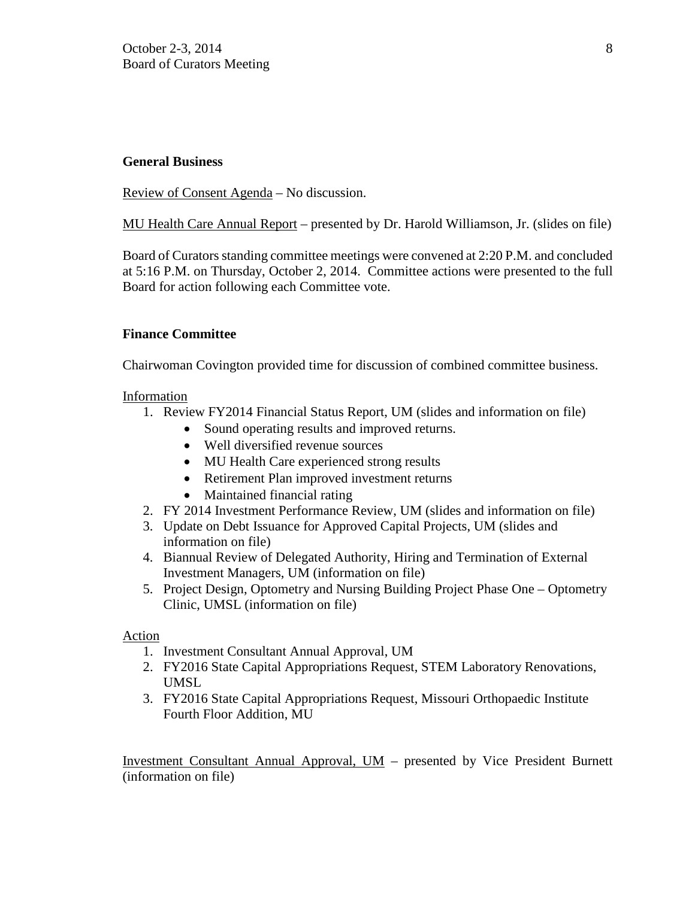# **General Business**

Review of Consent Agenda – No discussion.

MU Health Care Annual Report – presented by Dr. Harold Williamson, Jr. (slides on file)

Board of Curators standing committee meetings were convened at 2:20 P.M. and concluded at 5:16 P.M. on Thursday, October 2, 2014. Committee actions were presented to the full Board for action following each Committee vote.

# **Finance Committee**

Chairwoman Covington provided time for discussion of combined committee business.

### Information

- 1. Review FY2014 Financial Status Report, UM (slides and information on file)
	- Sound operating results and improved returns.
	- Well diversified revenue sources
	- MU Health Care experienced strong results
	- Retirement Plan improved investment returns
	- Maintained financial rating
- 2. FY 2014 Investment Performance Review, UM (slides and information on file)
- 3. Update on Debt Issuance for Approved Capital Projects, UM (slides and information on file)
- 4. Biannual Review of Delegated Authority, Hiring and Termination of External Investment Managers, UM (information on file)
- 5. Project Design, Optometry and Nursing Building Project Phase One Optometry Clinic, UMSL (information on file)

Action

- 1. Investment Consultant Annual Approval, UM
- 2. FY2016 State Capital Appropriations Request, STEM Laboratory Renovations, UMSL
- 3. FY2016 State Capital Appropriations Request, Missouri Orthopaedic Institute Fourth Floor Addition, MU

Investment Consultant Annual Approval, UM – presented by Vice President Burnett (information on file)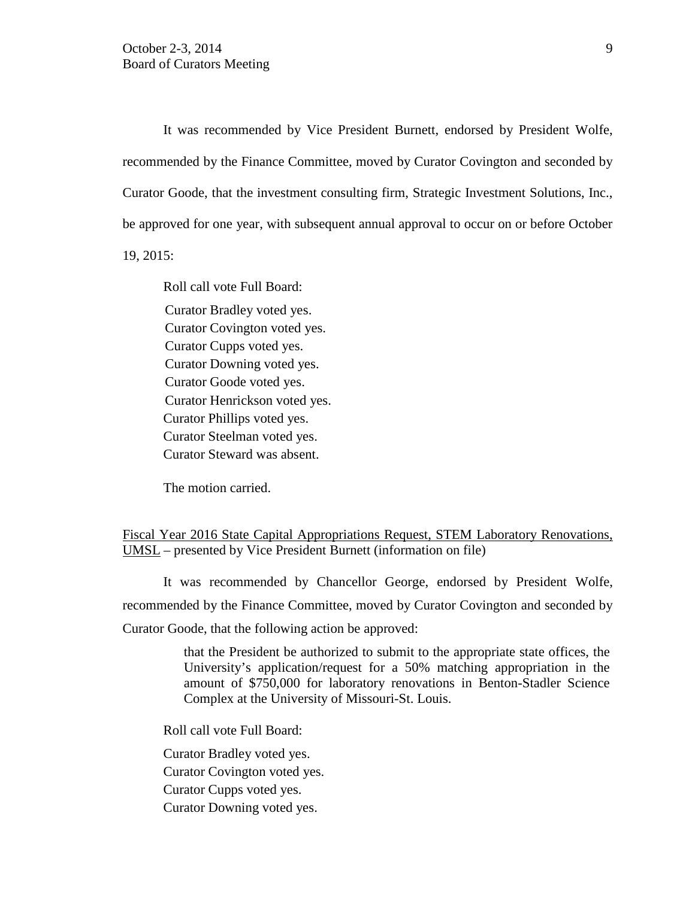It was recommended by Vice President Burnett, endorsed by President Wolfe, recommended by the Finance Committee, moved by Curator Covington and seconded by Curator Goode, that the investment consulting firm, Strategic Investment Solutions, Inc., be approved for one year, with subsequent annual approval to occur on or before October

19, 2015:

Roll call vote Full Board: Curator Bradley voted yes. Curator Covington voted yes. Curator Cupps voted yes. Curator Downing voted yes. Curator Goode voted yes. Curator Henrickson voted yes. Curator Phillips voted yes. Curator Steelman voted yes. Curator Steward was absent.

The motion carried.

Fiscal Year 2016 State Capital Appropriations Request, STEM Laboratory Renovations, UMSL – presented by Vice President Burnett (information on file)

It was recommended by Chancellor George, endorsed by President Wolfe, recommended by the Finance Committee, moved by Curator Covington and seconded by Curator Goode, that the following action be approved:

> that the President be authorized to submit to the appropriate state offices, the University's application/request for a 50% matching appropriation in the amount of \$750,000 for laboratory renovations in Benton-Stadler Science Complex at the University of Missouri-St. Louis.

Roll call vote Full Board:

Curator Bradley voted yes. Curator Covington voted yes. Curator Cupps voted yes. Curator Downing voted yes.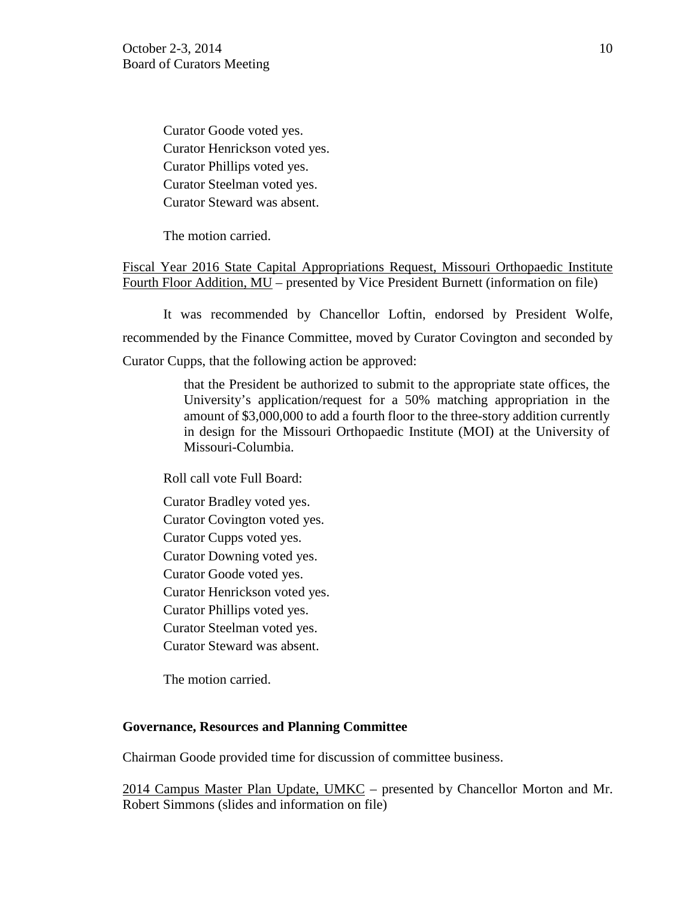Curator Goode voted yes. Curator Henrickson voted yes. Curator Phillips voted yes. Curator Steelman voted yes. Curator Steward was absent.

The motion carried.

Fiscal Year 2016 State Capital Appropriations Request, Missouri Orthopaedic Institute Fourth Floor Addition, MU – presented by Vice President Burnett (information on file)

It was recommended by Chancellor Loftin, endorsed by President Wolfe, recommended by the Finance Committee, moved by Curator Covington and seconded by Curator Cupps, that the following action be approved:

> that the President be authorized to submit to the appropriate state offices, the University's application/request for a 50% matching appropriation in the amount of \$3,000,000 to add a fourth floor to the three-story addition currently in design for the Missouri Orthopaedic Institute (MOI) at the University of Missouri-Columbia.

Roll call vote Full Board:

Curator Bradley voted yes. Curator Covington voted yes. Curator Cupps voted yes. Curator Downing voted yes. Curator Goode voted yes. Curator Henrickson voted yes. Curator Phillips voted yes. Curator Steelman voted yes. Curator Steward was absent.

The motion carried.

#### **Governance, Resources and Planning Committee**

Chairman Goode provided time for discussion of committee business.

2014 Campus Master Plan Update, UMKC – presented by Chancellor Morton and Mr. Robert Simmons (slides and information on file)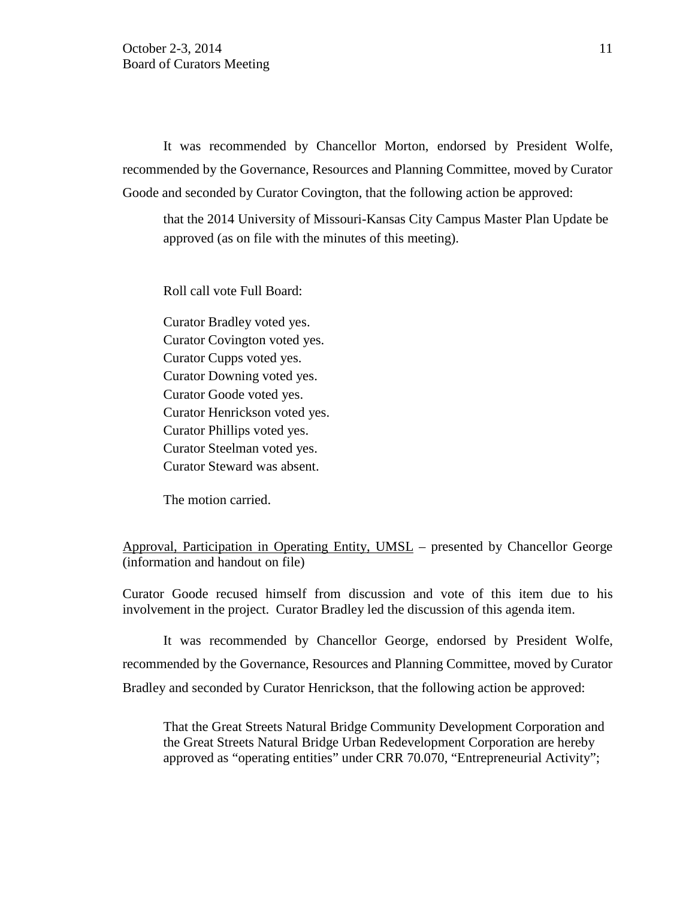It was recommended by Chancellor Morton, endorsed by President Wolfe, recommended by the Governance, Resources and Planning Committee, moved by Curator Goode and seconded by Curator Covington, that the following action be approved:

that the 2014 University of Missouri-Kansas City Campus Master Plan Update be approved (as on file with the minutes of this meeting).

Roll call vote Full Board:

Curator Bradley voted yes. Curator Covington voted yes. Curator Cupps voted yes. Curator Downing voted yes. Curator Goode voted yes. Curator Henrickson voted yes. Curator Phillips voted yes. Curator Steelman voted yes. Curator Steward was absent.

The motion carried.

Approval, Participation in Operating Entity, UMSL – presented by Chancellor George (information and handout on file)

Curator Goode recused himself from discussion and vote of this item due to his involvement in the project. Curator Bradley led the discussion of this agenda item.

It was recommended by Chancellor George, endorsed by President Wolfe, recommended by the Governance, Resources and Planning Committee, moved by Curator Bradley and seconded by Curator Henrickson, that the following action be approved:

That the Great Streets Natural Bridge Community Development Corporation and the Great Streets Natural Bridge Urban Redevelopment Corporation are hereby approved as "operating entities" under CRR 70.070, "Entrepreneurial Activity";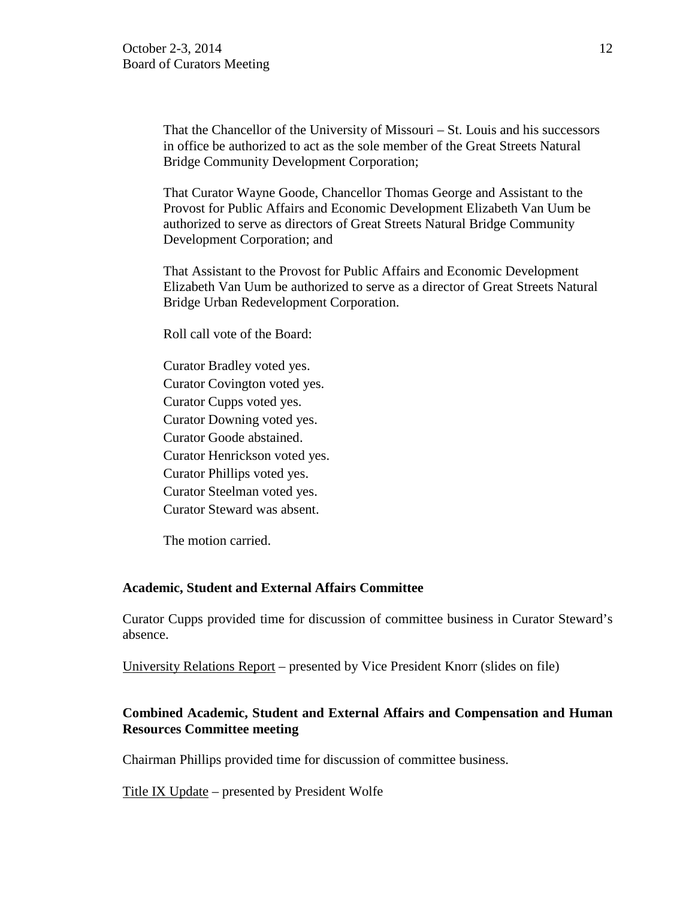That the Chancellor of the University of Missouri – St. Louis and his successors in office be authorized to act as the sole member of the Great Streets Natural Bridge Community Development Corporation;

That Curator Wayne Goode, Chancellor Thomas George and Assistant to the Provost for Public Affairs and Economic Development Elizabeth Van Uum be authorized to serve as directors of Great Streets Natural Bridge Community Development Corporation; and

That Assistant to the Provost for Public Affairs and Economic Development Elizabeth Van Uum be authorized to serve as a director of Great Streets Natural Bridge Urban Redevelopment Corporation.

Roll call vote of the Board:

Curator Bradley voted yes. Curator Covington voted yes. Curator Cupps voted yes. Curator Downing voted yes. Curator Goode abstained. Curator Henrickson voted yes. Curator Phillips voted yes. Curator Steelman voted yes. Curator Steward was absent.

The motion carried.

### **Academic, Student and External Affairs Committee**

Curator Cupps provided time for discussion of committee business in Curator Steward's absence.

University Relations Report – presented by Vice President Knorr (slides on file)

# **Combined Academic, Student and External Affairs and Compensation and Human Resources Committee meeting**

Chairman Phillips provided time for discussion of committee business.

Title IX Update – presented by President Wolfe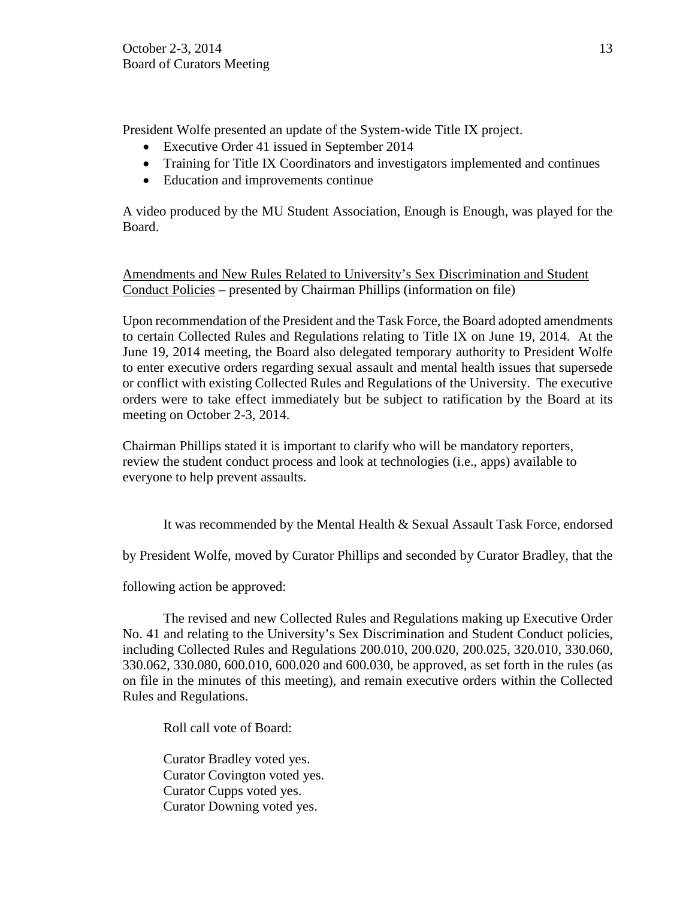President Wolfe presented an update of the System-wide Title IX project.

- Executive Order 41 issued in September 2014
- Training for Title IX Coordinators and investigators implemented and continues
- Education and improvements continue

A video produced by the MU Student Association, Enough is Enough, was played for the Board.

Amendments and New Rules Related to University's Sex Discrimination and Student Conduct Policies – presented by Chairman Phillips (information on file)

Upon recommendation of the President and the Task Force, the Board adopted amendments to certain Collected Rules and Regulations relating to Title IX on June 19, 2014. At the June 19, 2014 meeting, the Board also delegated temporary authority to President Wolfe to enter executive orders regarding sexual assault and mental health issues that supersede or conflict with existing Collected Rules and Regulations of the University. The executive orders were to take effect immediately but be subject to ratification by the Board at its meeting on October 2-3, 2014.

Chairman Phillips stated it is important to clarify who will be mandatory reporters, review the student conduct process and look at technologies (i.e., apps) available to everyone to help prevent assaults.

It was recommended by the Mental Health & Sexual Assault Task Force, endorsed

by President Wolfe, moved by Curator Phillips and seconded by Curator Bradley, that the

following action be approved:

The revised and new Collected Rules and Regulations making up Executive Order No. 41 and relating to the University's Sex Discrimination and Student Conduct policies, including Collected Rules and Regulations 200.010, 200.020, 200.025, 320.010, 330.060, 330.062, 330.080, 600.010, 600.020 and 600.030, be approved, as set forth in the rules (as on file in the minutes of this meeting), and remain executive orders within the Collected Rules and Regulations.

Roll call vote of Board:

Curator Bradley voted yes. Curator Covington voted yes. Curator Cupps voted yes. Curator Downing voted yes.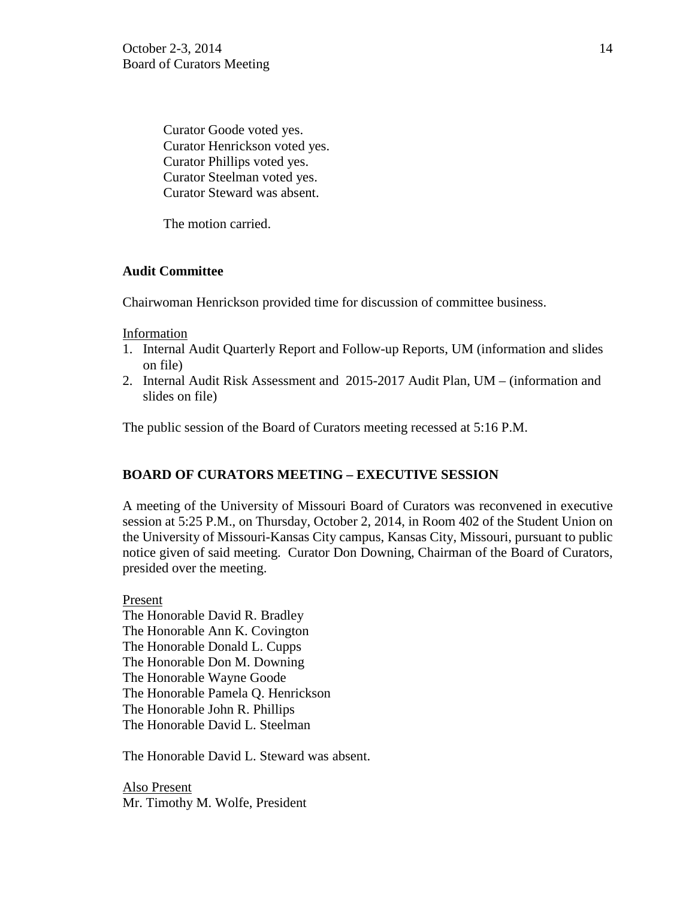Curator Goode voted yes. Curator Henrickson voted yes. Curator Phillips voted yes. Curator Steelman voted yes. Curator Steward was absent.

The motion carried.

# **Audit Committee**

Chairwoman Henrickson provided time for discussion of committee business.

# Information

- 1. Internal Audit Quarterly Report and Follow-up Reports, UM (information and slides on file)
- 2. Internal Audit Risk Assessment and 2015-2017 Audit Plan, UM (information and slides on file)

The public session of the Board of Curators meeting recessed at 5:16 P.M.

# **BOARD OF CURATORS MEETING – EXECUTIVE SESSION**

A meeting of the University of Missouri Board of Curators was reconvened in executive session at 5:25 P.M., on Thursday, October 2, 2014, in Room 402 of the Student Union on the University of Missouri-Kansas City campus, Kansas City, Missouri, pursuant to public notice given of said meeting. Curator Don Downing, Chairman of the Board of Curators, presided over the meeting.

Present The Honorable David R. Bradley The Honorable Ann K. Covington The Honorable Donald L. Cupps The Honorable Don M. Downing The Honorable Wayne Goode The Honorable Pamela Q. Henrickson The Honorable John R. Phillips The Honorable David L. Steelman

The Honorable David L. Steward was absent.

Also Present Mr. Timothy M. Wolfe, President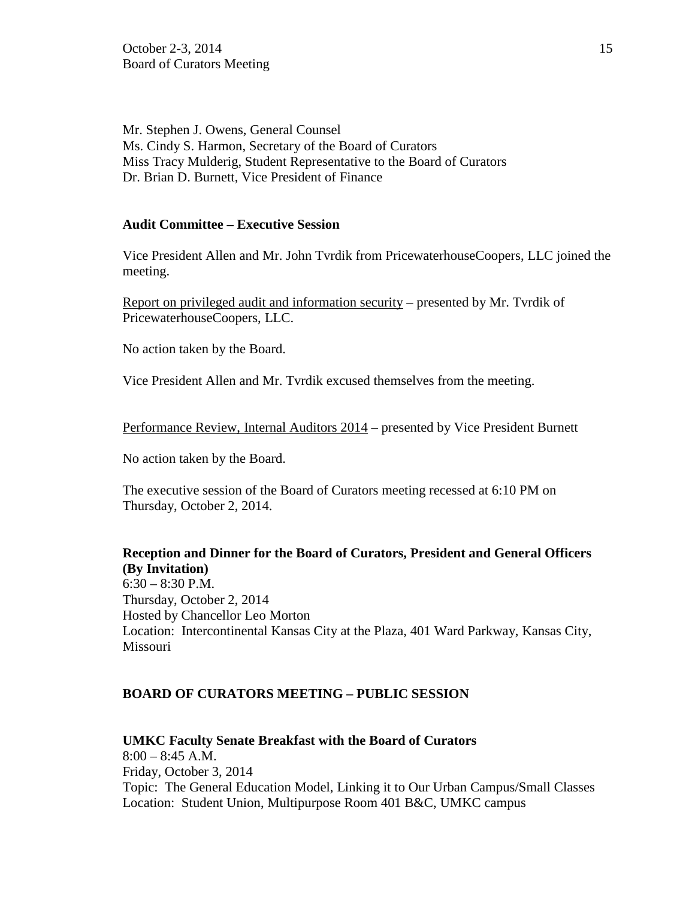Mr. Stephen J. Owens, General Counsel Ms. Cindy S. Harmon, Secretary of the Board of Curators Miss Tracy Mulderig, Student Representative to the Board of Curators Dr. Brian D. Burnett, Vice President of Finance

### **Audit Committee – Executive Session**

Vice President Allen and Mr. John Tvrdik from PricewaterhouseCoopers, LLC joined the meeting.

Report on privileged audit and information security – presented by Mr. Tvrdik of PricewaterhouseCoopers, LLC.

No action taken by the Board.

Vice President Allen and Mr. Tvrdik excused themselves from the meeting.

Performance Review, Internal Auditors 2014 – presented by Vice President Burnett

No action taken by the Board.

The executive session of the Board of Curators meeting recessed at 6:10 PM on Thursday, October 2, 2014.

**Reception and Dinner for the Board of Curators, President and General Officers (By Invitation)**  $6:30 - 8:30$  P.M. Thursday, October 2, 2014 Hosted by Chancellor Leo Morton

Location: Intercontinental Kansas City at the Plaza, 401 Ward Parkway, Kansas City, Missouri

### **BOARD OF CURATORS MEETING – PUBLIC SESSION**

**UMKC Faculty Senate Breakfast with the Board of Curators**  $8:00 - 8:45$  A.M. Friday, October 3, 2014 Topic: The General Education Model, Linking it to Our Urban Campus/Small Classes Location: Student Union, Multipurpose Room 401 B&C, UMKC campus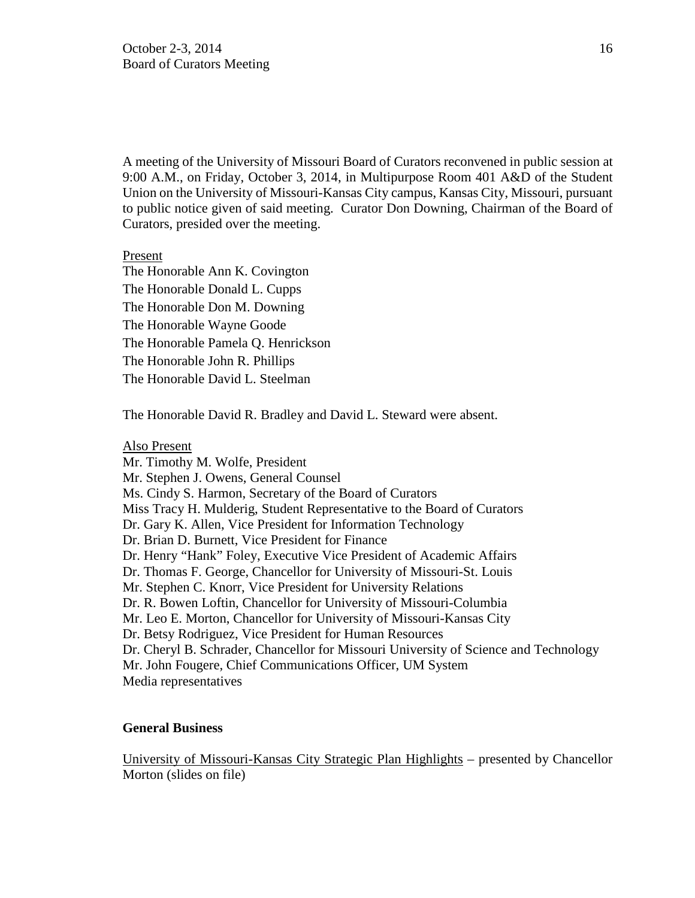A meeting of the University of Missouri Board of Curators reconvened in public session at 9:00 A.M., on Friday, October 3, 2014, in Multipurpose Room 401 A&D of the Student Union on the University of Missouri-Kansas City campus, Kansas City, Missouri, pursuant to public notice given of said meeting. Curator Don Downing, Chairman of the Board of Curators, presided over the meeting.

Present

The Honorable Ann K. Covington The Honorable Donald L. Cupps The Honorable Don M. Downing The Honorable Wayne Goode The Honorable Pamela Q. Henrickson The Honorable John R. Phillips The Honorable David L. Steelman

The Honorable David R. Bradley and David L. Steward were absent.

#### Also Present

Mr. Timothy M. Wolfe, President Mr. Stephen J. Owens, General Counsel Ms. Cindy S. Harmon, Secretary of the Board of Curators Miss Tracy H. Mulderig, Student Representative to the Board of Curators Dr. Gary K. Allen, Vice President for Information Technology Dr. Brian D. Burnett, Vice President for Finance Dr. Henry "Hank" Foley, Executive Vice President of Academic Affairs Dr. Thomas F. George, Chancellor for University of Missouri-St. Louis Mr. Stephen C. Knorr, Vice President for University Relations Dr. R. Bowen Loftin, Chancellor for University of Missouri-Columbia Mr. Leo E. Morton, Chancellor for University of Missouri-Kansas City Dr. Betsy Rodriguez, Vice President for Human Resources Dr. Cheryl B. Schrader, Chancellor for Missouri University of Science and Technology Mr. John Fougere, Chief Communications Officer, UM System Media representatives

### **General Business**

University of Missouri-Kansas City Strategic Plan Highlights – presented by Chancellor Morton (slides on file)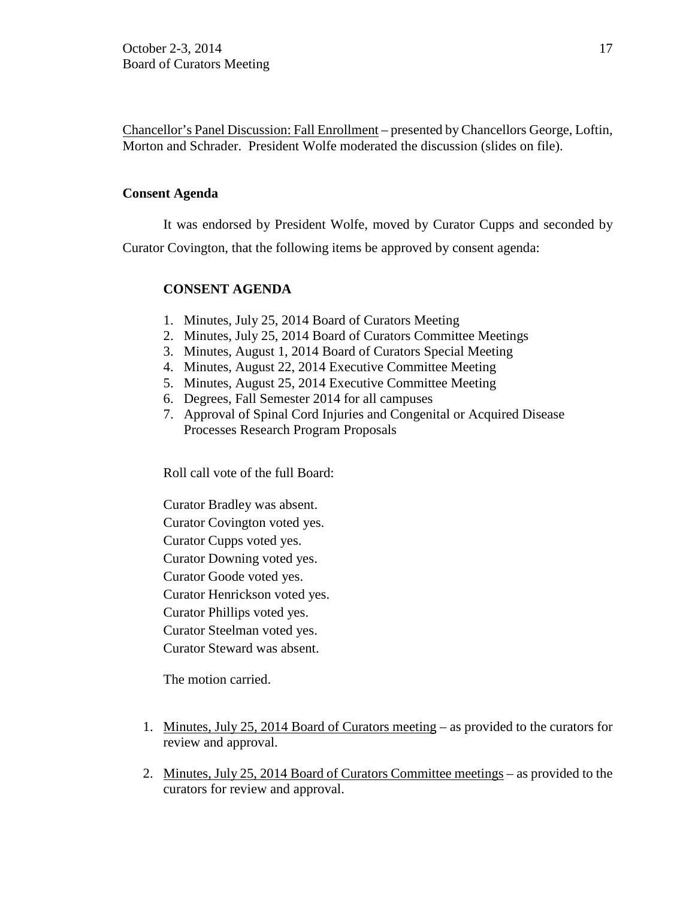Chancellor's Panel Discussion: Fall Enrollment – presented by Chancellors George, Loftin, Morton and Schrader. President Wolfe moderated the discussion (slides on file).

### **Consent Agenda**

It was endorsed by President Wolfe, moved by Curator Cupps and seconded by Curator Covington, that the following items be approved by consent agenda:

# **CONSENT AGENDA**

- 1. Minutes, July 25, 2014 Board of Curators Meeting
- 2. Minutes, July 25, 2014 Board of Curators Committee Meetings
- 3. Minutes, August 1, 2014 Board of Curators Special Meeting
- 4. Minutes, August 22, 2014 Executive Committee Meeting
- 5. Minutes, August 25, 2014 Executive Committee Meeting
- 6. Degrees, Fall Semester 2014 for all campuses
- 7. Approval of Spinal Cord Injuries and Congenital or Acquired Disease Processes Research Program Proposals

Roll call vote of the full Board:

Curator Bradley was absent. Curator Covington voted yes. Curator Cupps voted yes. Curator Downing voted yes. Curator Goode voted yes. Curator Henrickson voted yes. Curator Phillips voted yes. Curator Steelman voted yes. Curator Steward was absent.

The motion carried.

- 1. Minutes, July 25, 2014 Board of Curators meeting as provided to the curators for review and approval.
- 2. Minutes, July 25, 2014 Board of Curators Committee meetings as provided to the curators for review and approval.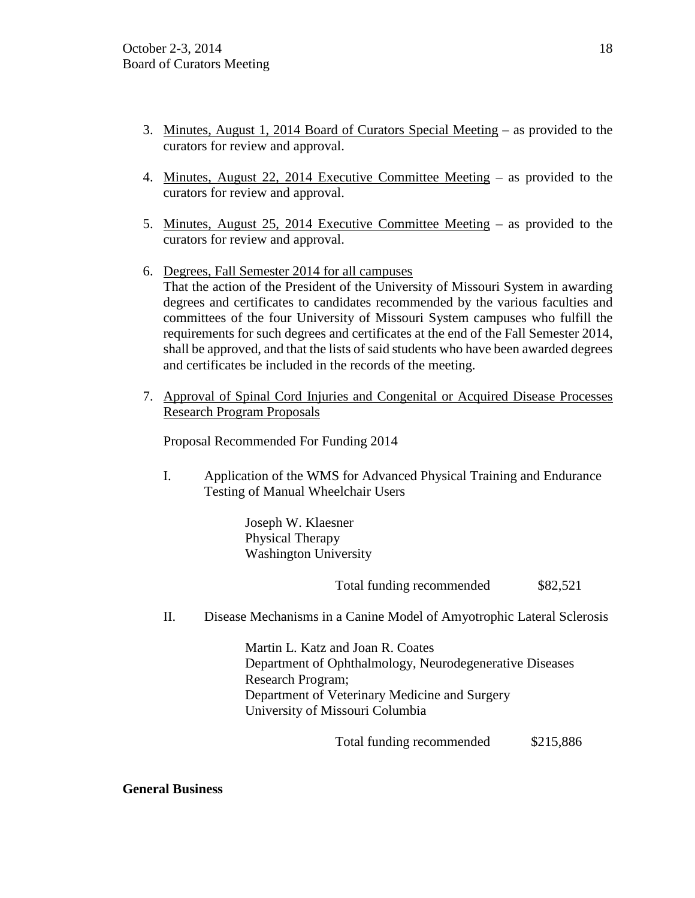- 3. Minutes, August 1, 2014 Board of Curators Special Meeting as provided to the curators for review and approval.
- 4. Minutes, August 22, 2014 Executive Committee Meeting as provided to the curators for review and approval.
- 5. Minutes, August 25, 2014 Executive Committee Meeting as provided to the curators for review and approval.
- 6. Degrees, Fall Semester 2014 for all campuses That the action of the President of the University of Missouri System in awarding degrees and certificates to candidates recommended by the various faculties and committees of the four University of Missouri System campuses who fulfill the requirements for such degrees and certificates at the end of the Fall Semester 2014, shall be approved, and that the lists of said students who have been awarded degrees and certificates be included in the records of the meeting.
- 7. Approval of Spinal Cord Injuries and Congenital or Acquired Disease Processes Research Program Proposals

Proposal Recommended For Funding 2014

I. Application of the WMS for Advanced Physical Training and Endurance Testing of Manual Wheelchair Users

> Joseph W. Klaesner Physical Therapy Washington University

> > Total funding recommended  $$82,521$

II. Disease Mechanisms in a Canine Model of Amyotrophic Lateral Sclerosis

Martin L. Katz and Joan R. Coates Department of Ophthalmology, Neurodegenerative Diseases Research Program; Department of Veterinary Medicine and Surgery University of Missouri Columbia

Total funding recommended \$215,886

**General Business**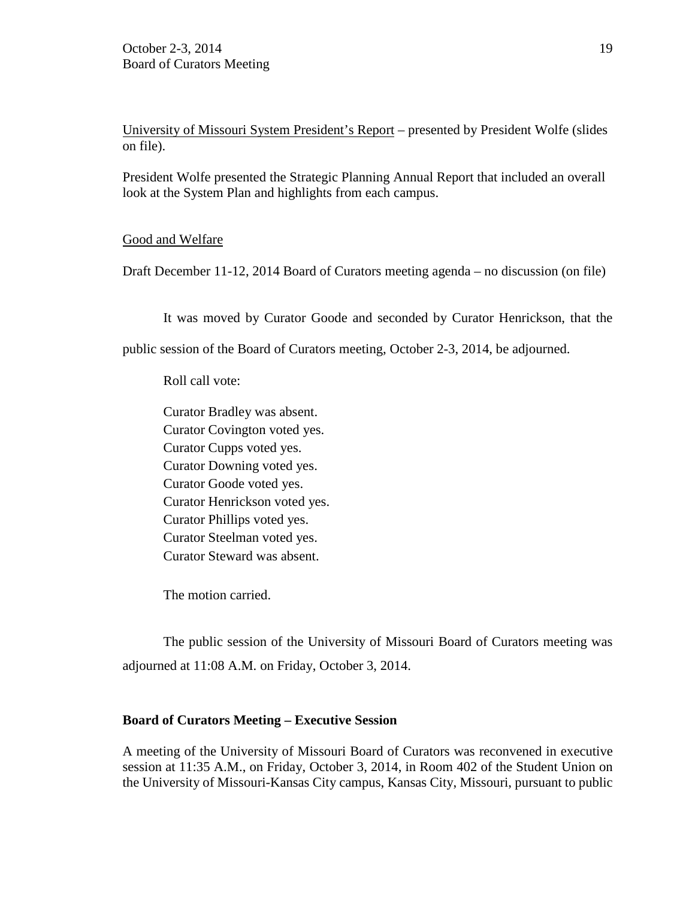University of Missouri System President's Report – presented by President Wolfe (slides on file).

President Wolfe presented the Strategic Planning Annual Report that included an overall look at the System Plan and highlights from each campus.

### Good and Welfare

Draft December 11-12, 2014 Board of Curators meeting agenda – no discussion (on file)

It was moved by Curator Goode and seconded by Curator Henrickson, that the

public session of the Board of Curators meeting, October 2-3, 2014, be adjourned.

Roll call vote:

Curator Bradley was absent. Curator Covington voted yes. Curator Cupps voted yes. Curator Downing voted yes. Curator Goode voted yes. Curator Henrickson voted yes. Curator Phillips voted yes. Curator Steelman voted yes. Curator Steward was absent.

The motion carried.

The public session of the University of Missouri Board of Curators meeting was adjourned at 11:08 A.M. on Friday, October 3, 2014.

#### **Board of Curators Meeting – Executive Session**

A meeting of the University of Missouri Board of Curators was reconvened in executive session at 11:35 A.M., on Friday, October 3, 2014, in Room 402 of the Student Union on the University of Missouri-Kansas City campus, Kansas City, Missouri, pursuant to public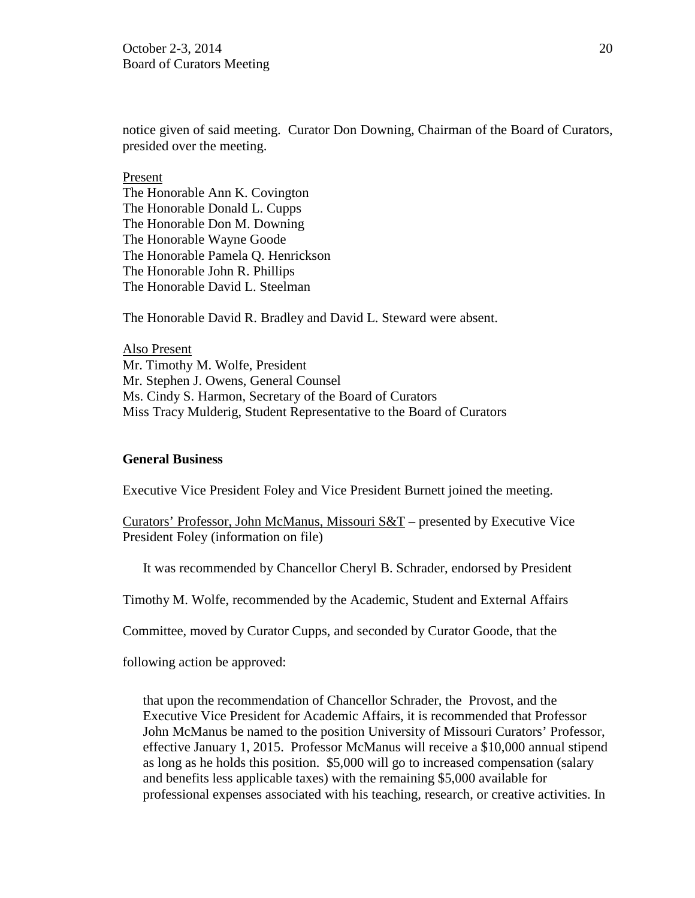notice given of said meeting. Curator Don Downing, Chairman of the Board of Curators, presided over the meeting.

Present The Honorable Ann K. Covington The Honorable Donald L. Cupps The Honorable Don M. Downing The Honorable Wayne Goode The Honorable Pamela Q. Henrickson The Honorable John R. Phillips The Honorable David L. Steelman

The Honorable David R. Bradley and David L. Steward were absent.

Also Present Mr. Timothy M. Wolfe, President Mr. Stephen J. Owens, General Counsel Ms. Cindy S. Harmon, Secretary of the Board of Curators Miss Tracy Mulderig, Student Representative to the Board of Curators

#### **General Business**

Executive Vice President Foley and Vice President Burnett joined the meeting.

Curators' Professor, John McManus, Missouri S&T – presented by Executive Vice President Foley (information on file)

It was recommended by Chancellor Cheryl B. Schrader, endorsed by President

Timothy M. Wolfe, recommended by the Academic, Student and External Affairs

Committee, moved by Curator Cupps, and seconded by Curator Goode, that the

following action be approved:

that upon the recommendation of Chancellor Schrader, the Provost, and the Executive Vice President for Academic Affairs, it is recommended that Professor John McManus be named to the position University of Missouri Curators' Professor, effective January 1, 2015. Professor McManus will receive a \$10,000 annual stipend as long as he holds this position. \$5,000 will go to increased compensation (salary and benefits less applicable taxes) with the remaining \$5,000 available for professional expenses associated with his teaching, research, or creative activities. In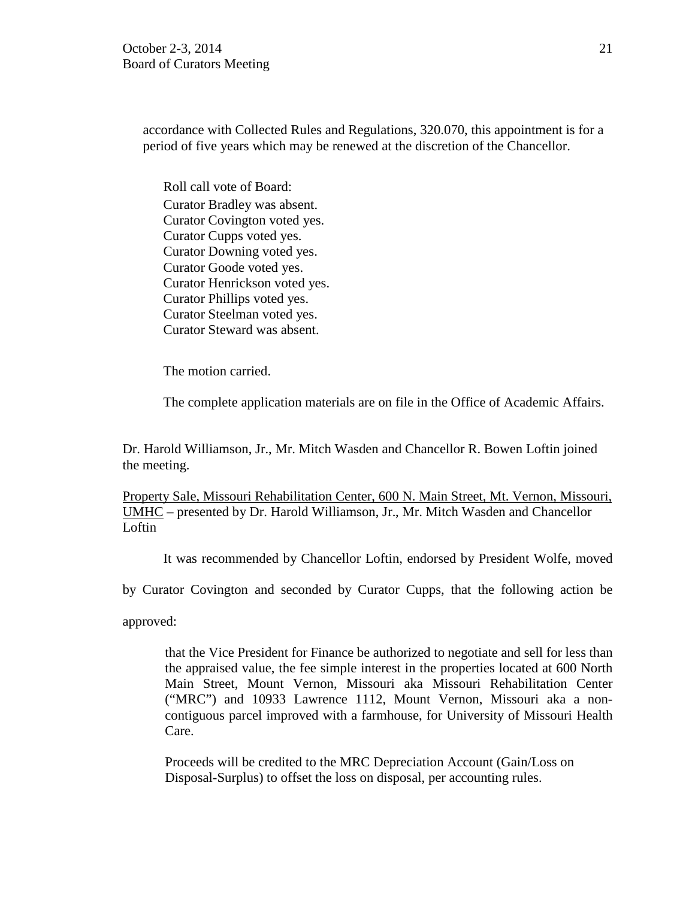accordance with Collected Rules and Regulations, 320.070, this appointment is for a period of five years which may be renewed at the discretion of the Chancellor.

Roll call vote of Board: Curator Bradley was absent. Curator Covington voted yes. Curator Cupps voted yes. Curator Downing voted yes. Curator Goode voted yes. Curator Henrickson voted yes. Curator Phillips voted yes. Curator Steelman voted yes. Curator Steward was absent.

The motion carried.

The complete application materials are on file in the Office of Academic Affairs.

Dr. Harold Williamson, Jr., Mr. Mitch Wasden and Chancellor R. Bowen Loftin joined the meeting.

Property Sale, Missouri Rehabilitation Center, 600 N. Main Street, Mt. Vernon, Missouri, UMHC – presented by Dr. Harold Williamson, Jr., Mr. Mitch Wasden and Chancellor Loftin

It was recommended by Chancellor Loftin, endorsed by President Wolfe, moved

by Curator Covington and seconded by Curator Cupps, that the following action be

approved:

that the Vice President for Finance be authorized to negotiate and sell for less than the appraised value, the fee simple interest in the properties located at 600 North Main Street, Mount Vernon, Missouri aka Missouri Rehabilitation Center ("MRC") and 10933 Lawrence 1112, Mount Vernon, Missouri aka a noncontiguous parcel improved with a farmhouse, for University of Missouri Health Care.

Proceeds will be credited to the MRC Depreciation Account (Gain/Loss on Disposal-Surplus) to offset the loss on disposal, per accounting rules.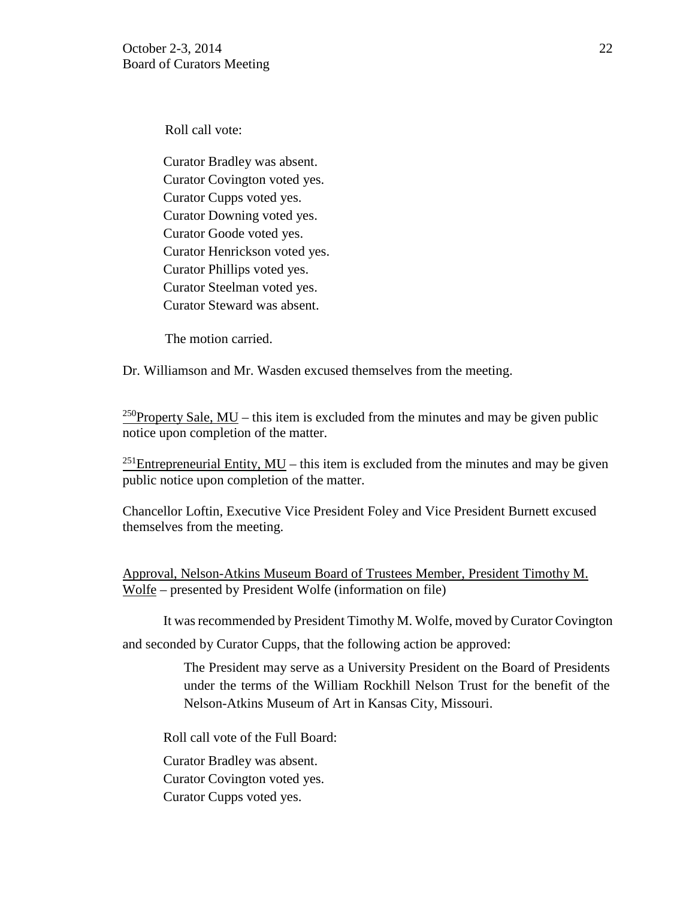Roll call vote:

Curator Bradley was absent. Curator Covington voted yes. Curator Cupps voted yes. Curator Downing voted yes. Curator Goode voted yes. Curator Henrickson voted yes. Curator Phillips voted yes. Curator Steelman voted yes. Curator Steward was absent.

The motion carried.

Dr. Williamson and Mr. Wasden excused themselves from the meeting.

<sup>250</sup>Property Sale, MU – this item is excluded from the minutes and may be given public notice upon completion of the matter.

<sup>251</sup>Entrepreneurial Entity,  $MU - this$  item is excluded from the minutes and may be given public notice upon completion of the matter.

Chancellor Loftin, Executive Vice President Foley and Vice President Burnett excused themselves from the meeting.

Approval, Nelson-Atkins Museum Board of Trustees Member, President Timothy M. Wolfe – presented by President Wolfe (information on file)

It was recommended by President Timothy M. Wolfe, moved by Curator Covington

and seconded by Curator Cupps, that the following action be approved:

The President may serve as a University President on the Board of Presidents under the terms of the William Rockhill Nelson Trust for the benefit of the Nelson-Atkins Museum of Art in Kansas City, Missouri.

Roll call vote of the Full Board:

Curator Bradley was absent.

Curator Covington voted yes.

Curator Cupps voted yes.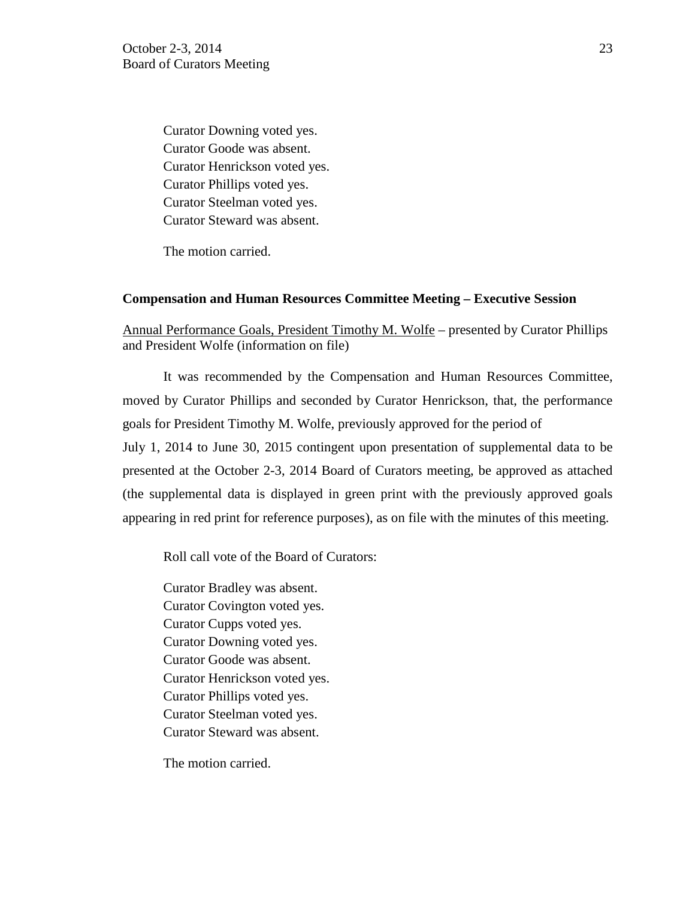Curator Downing voted yes. Curator Goode was absent. Curator Henrickson voted yes. Curator Phillips voted yes. Curator Steelman voted yes. Curator Steward was absent.

The motion carried.

#### **Compensation and Human Resources Committee Meeting – Executive Session**

Annual Performance Goals, President Timothy M. Wolfe – presented by Curator Phillips and President Wolfe (information on file)

It was recommended by the Compensation and Human Resources Committee, moved by Curator Phillips and seconded by Curator Henrickson, that, the performance goals for President Timothy M. Wolfe, previously approved for the period of July 1, 2014 to June 30, 2015 contingent upon presentation of supplemental data to be presented at the October 2-3, 2014 Board of Curators meeting, be approved as attached (the supplemental data is displayed in green print with the previously approved goals appearing in red print for reference purposes), as on file with the minutes of this meeting.

Roll call vote of the Board of Curators:

Curator Bradley was absent. Curator Covington voted yes. Curator Cupps voted yes. Curator Downing voted yes. Curator Goode was absent. Curator Henrickson voted yes. Curator Phillips voted yes. Curator Steelman voted yes. Curator Steward was absent.

The motion carried.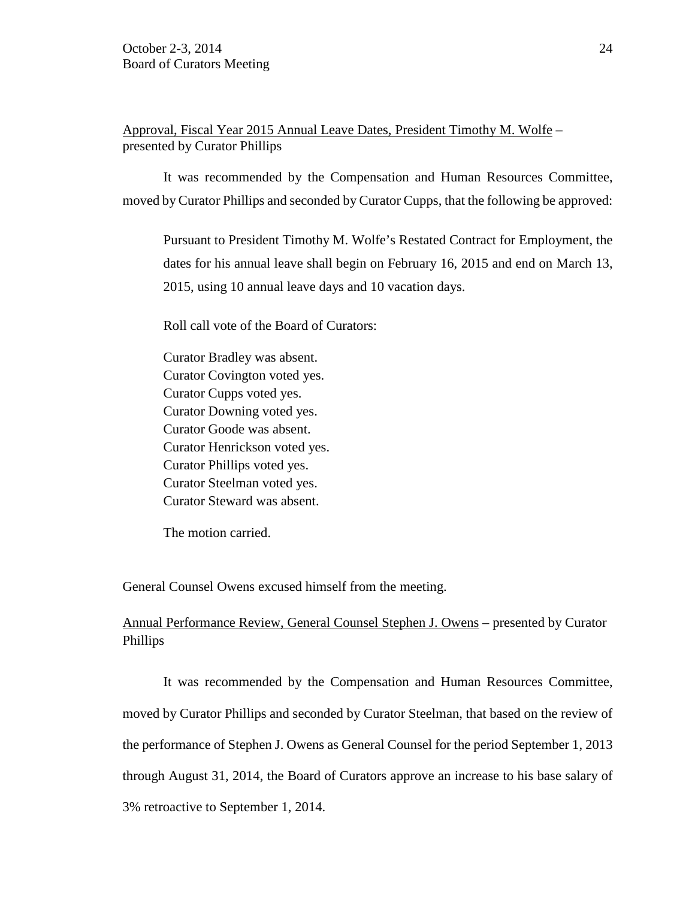Approval, Fiscal Year 2015 Annual Leave Dates, President Timothy M. Wolfe – presented by Curator Phillips

It was recommended by the Compensation and Human Resources Committee, moved by Curator Phillips and seconded by Curator Cupps, that the following be approved:

Pursuant to President Timothy M. Wolfe's Restated Contract for Employment, the dates for his annual leave shall begin on February 16, 2015 and end on March 13, 2015, using 10 annual leave days and 10 vacation days.

Roll call vote of the Board of Curators:

Curator Bradley was absent. Curator Covington voted yes. Curator Cupps voted yes. Curator Downing voted yes. Curator Goode was absent. Curator Henrickson voted yes. Curator Phillips voted yes. Curator Steelman voted yes. Curator Steward was absent.

The motion carried.

General Counsel Owens excused himself from the meeting.

# Annual Performance Review, General Counsel Stephen J. Owens – presented by Curator Phillips

It was recommended by the Compensation and Human Resources Committee, moved by Curator Phillips and seconded by Curator Steelman, that based on the review of the performance of Stephen J. Owens as General Counsel for the period September 1, 2013 through August 31, 2014, the Board of Curators approve an increase to his base salary of 3% retroactive to September 1, 2014.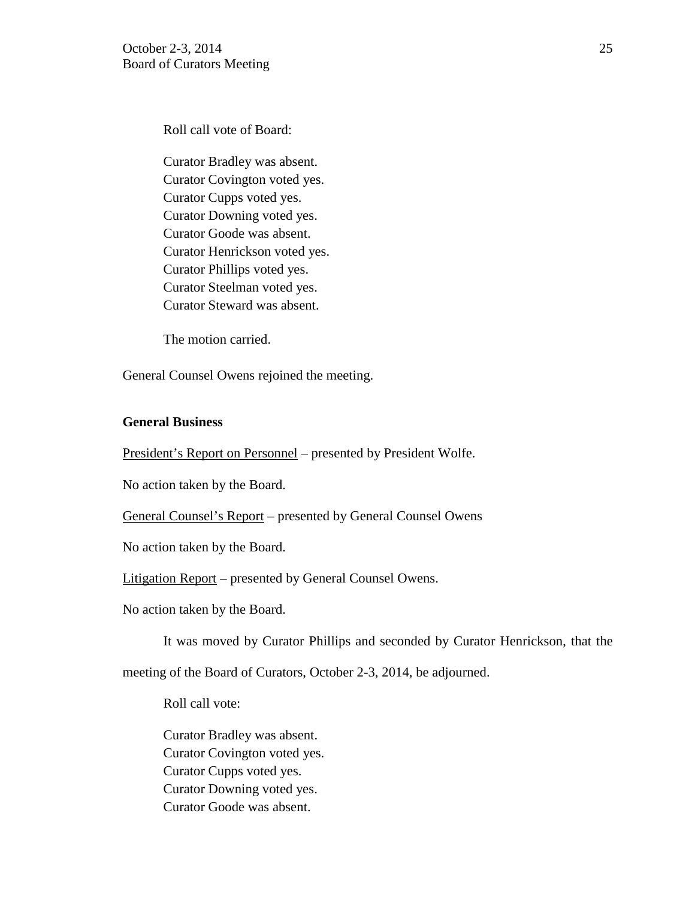October 2-3, 2014 25 Board of Curators Meeting

Roll call vote of Board:

Curator Bradley was absent. Curator Covington voted yes. Curator Cupps voted yes. Curator Downing voted yes. Curator Goode was absent. Curator Henrickson voted yes. Curator Phillips voted yes. Curator Steelman voted yes. Curator Steward was absent.

The motion carried.

General Counsel Owens rejoined the meeting.

### **General Business**

President's Report on Personnel – presented by President Wolfe.

No action taken by the Board.

General Counsel's Report – presented by General Counsel Owens

No action taken by the Board.

Litigation Report – presented by General Counsel Owens.

No action taken by the Board.

It was moved by Curator Phillips and seconded by Curator Henrickson, that the

meeting of the Board of Curators, October 2-3, 2014, be adjourned.

Roll call vote:

Curator Bradley was absent. Curator Covington voted yes. Curator Cupps voted yes. Curator Downing voted yes. Curator Goode was absent.